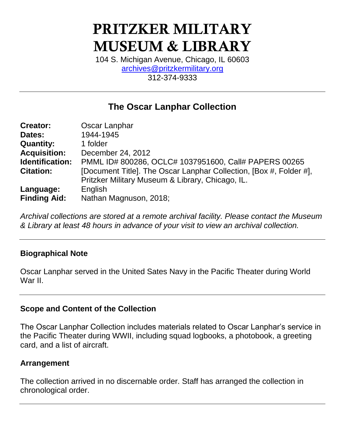# **PRITZKER MILITARY MUSEUM & LIBRARY**

104 S. Michigan Avenue, Chicago, IL 60603 [archives@pritzkermilitary.org](mailto:archives@pritzkermilitary.org) 312-374-9333

## **The Oscar Lanphar Collection**

| <b>Creator:</b>     | Oscar Lanphar                                                                                                          |  |  |  |
|---------------------|------------------------------------------------------------------------------------------------------------------------|--|--|--|
| Dates:              | 1944-1945                                                                                                              |  |  |  |
| <b>Quantity:</b>    | 1 folder                                                                                                               |  |  |  |
| <b>Acquisition:</b> | December 24, 2012                                                                                                      |  |  |  |
| Identification:     | PMML ID# 800286, OCLC# 1037951600, Call# PAPERS 00265                                                                  |  |  |  |
| <b>Citation:</b>    | [Document Title]. The Oscar Lanphar Collection, [Box #, Folder #],<br>Pritzker Military Museum & Library, Chicago, IL. |  |  |  |
| Language:           | English                                                                                                                |  |  |  |
| <b>Finding Aid:</b> | Nathan Magnuson, 2018;                                                                                                 |  |  |  |

*Archival collections are stored at a remote archival facility. Please contact the Museum & Library at least 48 hours in advance of your visit to view an archival collection.*

## **Biographical Note**

Oscar Lanphar served in the United Sates Navy in the Pacific Theater during World War II.

## **Scope and Content of the Collection**

The Oscar Lanphar Collection includes materials related to Oscar Lanphar's service in the Pacific Theater during WWII, including squad logbooks, a photobook, a greeting card, and a list of aircraft.

## **Arrangement**

The collection arrived in no discernable order. Staff has arranged the collection in chronological order.